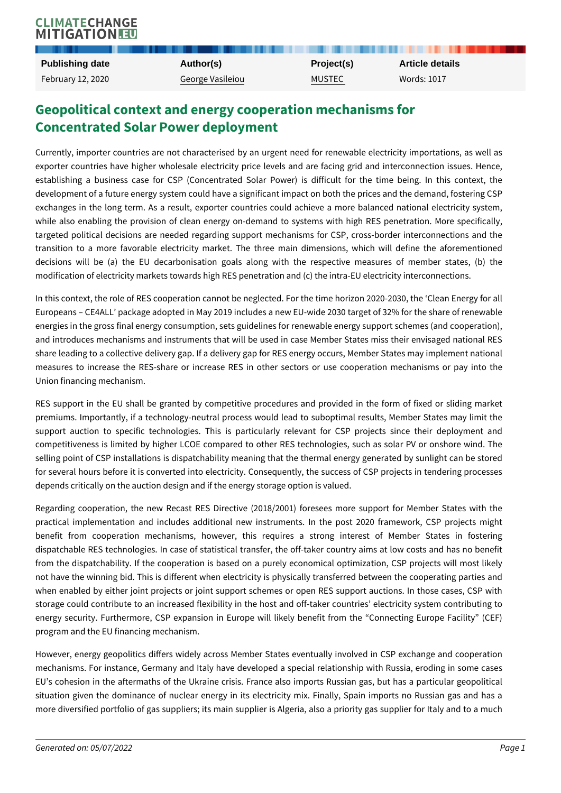## Geopolitical context and energy cooperation mechan Concentrated Solar Power deployment

Currently, importer countries are not characterised by an urgent need for ren exporter countries have higher wholesale electricity price levels and are fac establishing a business case for CSP (Concentrated Solar Power) is diffic development of a future energy system could have a significant impact on both exchanges in the long term. As a result, exporter countries could achieve a while also enabling the provision of clean energy on-demand to systems wit targeted political decisions are needed regarding support mechanisms for CS transition to a more favorable electricity market. The three main dimensio decisions will be (a) the EU decarbonisation goals along with the respe modification of electricity markets towards high RES penetration and (c) the int

In this context, the role of RES cooperation cannot be neglected. For the time Europeans CE4ALL package adopted in May 2019 includes a new EU-wide 203 energies in the gross final energy consumption, sets guidelines for renewable  $\epsilon$ and introduces mechanisms and instruments that will be used in case Member share leading to a collective delivery gap. If a delivery gap for RES energy oce measures to increase the RES-share or increase RES in other sectors or u Union financing mechanism.

RES support in the EU shall be granted by competitive procedures and provi premiums. Importantly, if a technology-neutral process would lead to subopting support auction to specific technologies. This is particularly relevant for competitiveness is limited by higher LCOE compared to other RES technologi selling point of CSP installations is dispatchability meaning that the thermal  $\epsilon$ for several hours before it is converted into electricity. Consequently, the sud depends critically on the auction design and if the energy storage option is val

Regarding cooperation, the new Recast RES Directive (2018/2001) foresees practical implementation and includes additional new instruments. In the post benefit from cooperation mechanisms, however, this requires a strong dispatchable RES technologies. In case of statistical transfer, the off-taker c from the dispatchability. If the cooperation is based on a purely economical not have the winning bid. This is different when electricity is physically trans when enabled by either joint projects or joint support schemes or open RES storage could contribute to an increased flexibility in the host and off-taker o energy security. Furthermore, CSP expansion in Europe will likely benefit from program and the EU financing mechanism.

However, energy geopolitics differs widely across Member States eventually i mechanisms. For instance, Germany and Italy have developed a special relationship with Russian Russian and Tel EU s cohesion in the aftermaths of the Ukraine crisis. France also imports R situation given the dominance of nuclear energy in its electricity mix. Finall more diversified portfolio of gas suppliers; its main supplier is Algeria, also a